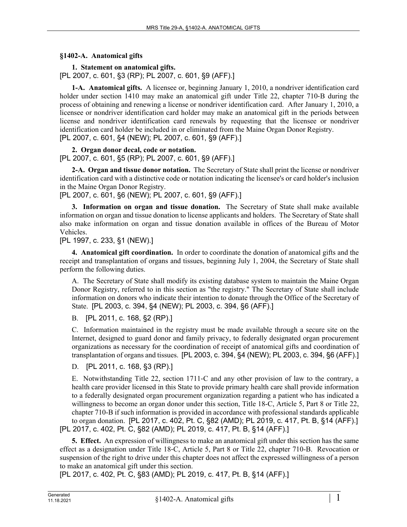## **§1402-A. Anatomical gifts**

**1. Statement on anatomical gifts.**  [PL 2007, c. 601, §3 (RP); PL 2007, c. 601, §9 (AFF).]

**1-A. Anatomical gifts.** A licensee or, beginning January 1, 2010, a nondriver identification card holder under section 1410 may make an anatomical gift under Title 22, chapter 710-B during the process of obtaining and renewing a license or nondriver identification card. After January 1, 2010, a licensee or nondriver identification card holder may make an anatomical gift in the periods between license and nondriver identification card renewals by requesting that the licensee or nondriver identification card holder be included in or eliminated from the Maine Organ Donor Registry. [PL 2007, c. 601, §4 (NEW); PL 2007, c. 601, §9 (AFF).]

**2. Organ donor decal, code or notation.** 

[PL 2007, c. 601, §5 (RP); PL 2007, c. 601, §9 (AFF).]

**2-A. Organ and tissue donor notation.** The Secretary of State shall print the license or nondriver identification card with a distinctive code or notation indicating the licensee's or card holder's inclusion in the Maine Organ Donor Registry.

[PL 2007, c. 601, §6 (NEW); PL 2007, c. 601, §9 (AFF).]

**3. Information on organ and tissue donation.** The Secretary of State shall make available information on organ and tissue donation to license applicants and holders. The Secretary of State shall also make information on organ and tissue donation available in offices of the Bureau of Motor Vehicles.

[PL 1997, c. 233, §1 (NEW).]

**4. Anatomical gift coordination.** In order to coordinate the donation of anatomical gifts and the receipt and transplantation of organs and tissues, beginning July 1, 2004, the Secretary of State shall perform the following duties.

A. The Secretary of State shall modify its existing database system to maintain the Maine Organ Donor Registry, referred to in this section as "the registry." The Secretary of State shall include information on donors who indicate their intention to donate through the Office of the Secretary of State. [PL 2003, c. 394, §4 (NEW); PL 2003, c. 394, §6 (AFF).]

B. [PL 2011, c. 168, §2 (RP).]

C. Information maintained in the registry must be made available through a secure site on the Internet, designed to guard donor and family privacy, to federally designated organ procurement organizations as necessary for the coordination of receipt of anatomical gifts and coordination of transplantation of organs and tissues. [PL 2003, c. 394, §4 (NEW); PL 2003, c. 394, §6 (AFF).]

D. [PL 2011, c. 168, §3 (RP).]

E. Notwithstanding Title 22, section 1711‑C and any other provision of law to the contrary, a health care provider licensed in this State to provide primary health care shall provide information to a federally designated organ procurement organization regarding a patient who has indicated a willingness to become an organ donor under this section, Title 18-C, Article 5, Part 8 or Title 22, chapter 710-B if such information is provided in accordance with professional standards applicable to organ donation. [PL 2017, c. 402, Pt. C, §82 (AMD); PL 2019, c. 417, Pt. B, §14 (AFF).] [PL 2017, c. 402, Pt. C, §82 (AMD); PL 2019, c. 417, Pt. B, §14 (AFF).]

**5. Effect.** An expression of willingness to make an anatomical gift under this section has the same effect as a designation under Title 18‑C, Article 5, Part 8 or Title 22, chapter 710-B. Revocation or suspension of the right to drive under this chapter does not affect the expressed willingness of a person to make an anatomical gift under this section.

[PL 2017, c. 402, Pt. C, §83 (AMD); PL 2019, c. 417, Pt. B, §14 (AFF).]